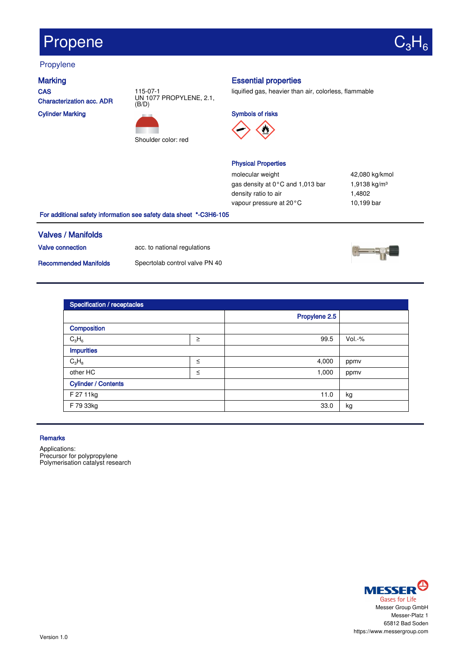# Propene

### Propylene

**CAS** Characterization acc. ADR

Cylinder Marking



Shoulder color: red

### Marking **Essential properties**

liquified gas, heavier than air, colorless, flammable

Symbols of risks



### Physical Properties

molecular weight  $42,080$  kg/kmol gas density at 0°C and 1,013 bar 1,9138 kg/m<sup>3</sup> density ratio to air 1,4802 vapour pressure at 20°C 10,199 bar

For additional safety information see safety data sheet \*-C3H6-105

### Valves / Manifolds

Valve connection acc. to national regulations

Recommended Manifolds Specrtolab control valve PN 40



| Specification / receptacles |        |               |          |  |
|-----------------------------|--------|---------------|----------|--|
|                             |        | Propylene 2.5 |          |  |
| Composition                 |        |               |          |  |
| $C_3H_6$                    | $\geq$ | 99.5          | $Vol.-%$ |  |
| <b>Impurities</b>           |        |               |          |  |
| $C_3H_8$                    | $\leq$ | 4,000         | ppmv     |  |
| other HC                    | $\leq$ | 1,000         | ppmv     |  |
| <b>Cylinder / Contents</b>  |        |               |          |  |
| F 27 11kg                   |        | 11.0          | kg       |  |
| F 79 33kg                   |        | 33.0          | kg       |  |

### **Remarks**

Applications: Precursor for polypropylene Polymerisation catalyst research